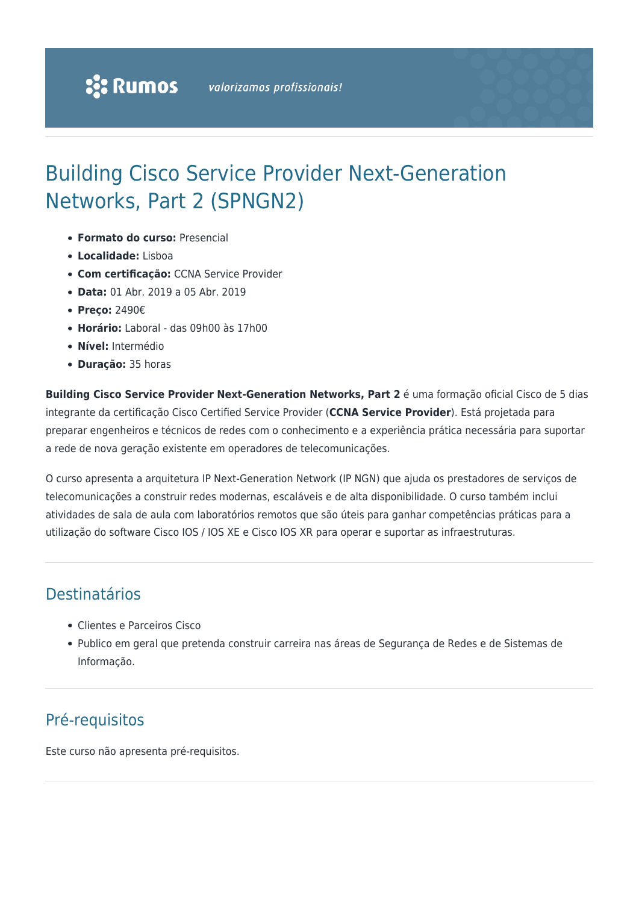# Building Cisco Service Provider Next-Generation Networks, Part 2 (SPNGN2)

- **Formato do curso:** Presencial
- **Localidade:** Lisboa
- **Com certificação:** CCNA Service Provider
- **Data:** 01 Abr. 2019 a 05 Abr. 2019
- **Preço:** 2490€
- **Horário:** Laboral das 09h00 às 17h00
- **Nível:** Intermédio
- **Duração:** 35 horas

**Building Cisco Service Provider Next-Generation Networks, Part 2** é uma formação oficial Cisco de 5 dias integrante da certificação Cisco Certified Service Provider (**CCNA Service Provider**). Está projetada para preparar engenheiros e técnicos de redes com o conhecimento e a experiência prática necessária para suportar a rede de nova geração existente em operadores de telecomunicações.

O curso apresenta a arquitetura IP Next-Generation Network (IP NGN) que ajuda os prestadores de serviços de telecomunicações a construir redes modernas, escaláveis e de alta disponibilidade. O curso também inclui atividades de sala de aula com laboratórios remotos que são úteis para ganhar competências práticas para a utilização do software Cisco IOS / IOS XE e Cisco IOS XR para operar e suportar as infraestruturas.

### Destinatários

- Clientes e Parceiros Cisco
- Publico em geral que pretenda construir carreira nas áreas de Segurança de Redes e de Sistemas de Informação.

### Pré-requisitos

Este curso não apresenta pré-requisitos.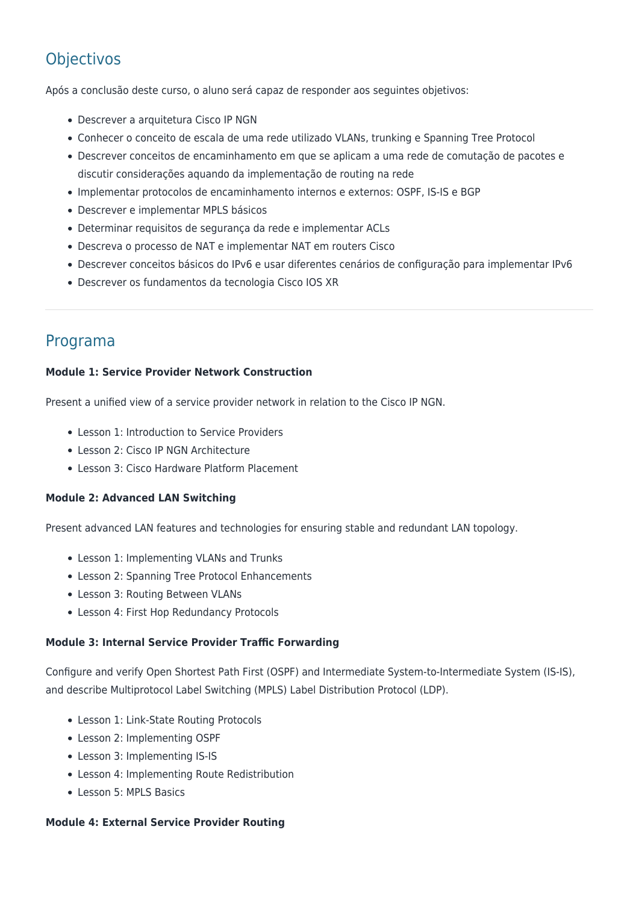## **Objectivos**

Após a conclusão deste curso, o aluno será capaz de responder aos seguintes objetivos:

- Descrever a arquitetura Cisco IP NGN
- Conhecer o conceito de escala de uma rede utilizado VLANs, trunking e Spanning Tree Protocol
- Descrever conceitos de encaminhamento em que se aplicam a uma rede de comutação de pacotes e discutir considerações aquando da implementação de routing na rede
- Implementar protocolos de encaminhamento internos e externos: OSPF, IS-IS e BGP
- Descrever e implementar MPLS básicos
- Determinar requisitos de segurança da rede e implementar ACLs
- Descreva o processo de NAT e implementar NAT em routers Cisco
- Descrever conceitos básicos do IPv6 e usar diferentes cenários de configuração para implementar IPv6
- Descrever os fundamentos da tecnologia Cisco IOS XR

### Programa

#### **Module 1: Service Provider Network Construction**

Present a unified view of a service provider network in relation to the Cisco IP NGN.

- Lesson 1: Introduction to Service Providers
- Lesson 2: Cisco IP NGN Architecture
- Lesson 3: Cisco Hardware Platform Placement

#### **Module 2: Advanced LAN Switching**

Present advanced LAN features and technologies for ensuring stable and redundant LAN topology.

- Lesson 1: Implementing VLANs and Trunks
- Lesson 2: Spanning Tree Protocol Enhancements
- Lesson 3: Routing Between VLANs
- Lesson 4: First Hop Redundancy Protocols

#### **Module 3: Internal Service Provider Traffic Forwarding**

Configure and verify Open Shortest Path First (OSPF) and Intermediate System-to-Intermediate System (IS-IS), and describe Multiprotocol Label Switching (MPLS) Label Distribution Protocol (LDP).

- Lesson 1: Link-State Routing Protocols
- Lesson 2: Implementing OSPF
- Lesson 3: Implementing IS-IS
- Lesson 4: Implementing Route Redistribution
- Lesson 5: MPLS Basics

#### **Module 4: External Service Provider Routing**